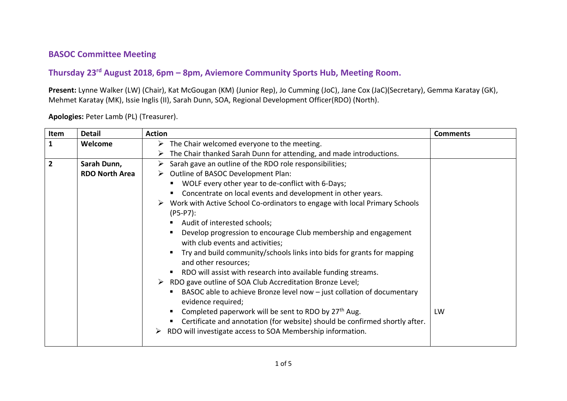## **BASOC Committee Meeting**

## **Thursday 23rd August 2018, 6pm – 8pm, Aviemore Community Sports Hub, Meeting Room.**

**Present:** Lynne Walker (LW) (Chair), Kat McGougan (KM) (Junior Rep), Jo Cumming (JoC), Jane Cox (JaC)(Secretary), Gemma Karatay (GK), Mehmet Karatay (MK), Issie Inglis (II), Sarah Dunn, SOA, Regional Development Officer(RDO) (North).

| Item           | <b>Detail</b>         | <b>Action</b>                                                                                              | <b>Comments</b> |
|----------------|-----------------------|------------------------------------------------------------------------------------------------------------|-----------------|
| 1              | Welcome               | $\triangleright$ The Chair welcomed everyone to the meeting.                                               |                 |
|                |                       | The Chair thanked Sarah Dunn for attending, and made introductions.                                        |                 |
| $\overline{2}$ | Sarah Dunn,           | $\triangleright$ Sarah gave an outline of the RDO role responsibilities;                                   |                 |
|                | <b>RDO North Area</b> | $\triangleright$ Outline of BASOC Development Plan:                                                        |                 |
|                |                       | WOLF every other year to de-conflict with 6-Days;                                                          |                 |
|                |                       | Concentrate on local events and development in other years.                                                |                 |
|                |                       | $\triangleright$ Work with Active School Co-ordinators to engage with local Primary Schools<br>$(P5-P7)$ : |                 |
|                |                       | Audit of interested schools;                                                                               |                 |
|                |                       | Develop progression to encourage Club membership and engagement<br>with club events and activities;        |                 |
|                |                       | Try and build community/schools links into bids for grants for mapping<br>and other resources;             |                 |
|                |                       | RDO will assist with research into available funding streams.                                              |                 |
|                |                       | > RDO gave outline of SOA Club Accreditation Bronze Level;                                                 |                 |
|                |                       | BASOC able to achieve Bronze level now - just collation of documentary<br>evidence required;               |                 |
|                |                       | Completed paperwork will be sent to RDO by 27 <sup>th</sup> Aug.                                           | LW              |
|                |                       | Certificate and annotation (for website) should be confirmed shortly after.                                |                 |
|                |                       | RDO will investigate access to SOA Membership information.                                                 |                 |

**Apologies:** Peter Lamb (PL) (Treasurer).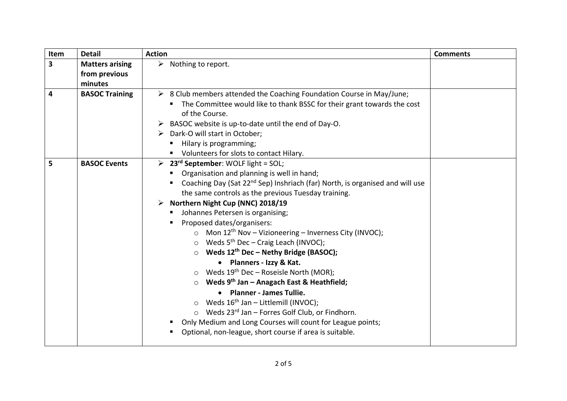| Item                    | <b>Detail</b>          | <b>Action</b>                                                                                                                                   | <b>Comments</b> |
|-------------------------|------------------------|-------------------------------------------------------------------------------------------------------------------------------------------------|-----------------|
| $\overline{\mathbf{3}}$ | <b>Matters arising</b> | $\triangleright$ Nothing to report.                                                                                                             |                 |
|                         | from previous          |                                                                                                                                                 |                 |
|                         | minutes                |                                                                                                                                                 |                 |
| 4                       | <b>BASOC Training</b>  | $\triangleright$ 8 Club members attended the Coaching Foundation Course in May/June;                                                            |                 |
|                         |                        | The Committee would like to thank BSSC for their grant towards the cost                                                                         |                 |
|                         |                        | of the Course.                                                                                                                                  |                 |
|                         |                        | BASOC website is up-to-date until the end of Day-O.                                                                                             |                 |
|                         |                        | $\triangleright$ Dark-O will start in October;                                                                                                  |                 |
|                         |                        | Hilary is programming;                                                                                                                          |                 |
|                         |                        | • Volunteers for slots to contact Hilary.                                                                                                       |                 |
| 5                       | <b>BASOC Events</b>    | 23 <sup>rd</sup> September: WOLF light = SOL;<br>➤                                                                                              |                 |
|                         |                        | Organisation and planning is well in hand;                                                                                                      |                 |
|                         |                        | Coaching Day (Sat 22 <sup>nd</sup> Sep) Inshriach (far) North, is organised and will use<br>the same controls as the previous Tuesday training. |                 |
|                         |                        | Northern Night Cup (NNC) 2018/19                                                                                                                |                 |
|                         |                        | Johannes Petersen is organising;                                                                                                                |                 |
|                         |                        | Proposed dates/organisers:                                                                                                                      |                 |
|                         |                        | Mon $12th$ Nov – Vizioneering – Inverness City (INVOC);<br>$\circ$                                                                              |                 |
|                         |                        | $\circ$ Weds 5 <sup>th</sup> Dec - Craig Leach (INVOC);                                                                                         |                 |
|                         |                        | Weds 12 <sup>th</sup> Dec - Nethy Bridge (BASOC);                                                                                               |                 |
|                         |                        | • Planners - Izzy & Kat.                                                                                                                        |                 |
|                         |                        | $\circ$ Weds 19 <sup>th</sup> Dec - Roseisle North (MOR);                                                                                       |                 |
|                         |                        | Weds 9th Jan - Anagach East & Heathfield;                                                                                                       |                 |
|                         |                        | • Planner - James Tullie.                                                                                                                       |                 |
|                         |                        | $\circ$ Weds 16 <sup>th</sup> Jan - Littlemill (INVOC);                                                                                         |                 |
|                         |                        | $\circ$ Weds 23 <sup>rd</sup> Jan - Forres Golf Club, or Findhorn.                                                                              |                 |
|                         |                        | Only Medium and Long Courses will count for League points;                                                                                      |                 |
|                         |                        | Optional, non-league, short course if area is suitable.                                                                                         |                 |
|                         |                        |                                                                                                                                                 |                 |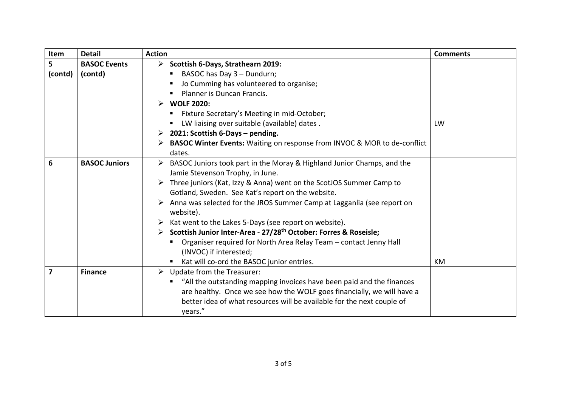| Item           | <b>Detail</b>        | <b>Action</b>                                                                                              | <b>Comments</b> |
|----------------|----------------------|------------------------------------------------------------------------------------------------------------|-----------------|
| 5 <sup>1</sup> | <b>BASOC Events</b>  | $\triangleright$ Scottish 6-Days, Strathearn 2019:                                                         |                 |
| (contd)        | (contd)              | BASOC has Day 3 - Dundurn;                                                                                 |                 |
|                |                      | Jo Cumming has volunteered to organise;                                                                    |                 |
|                |                      | Planner is Duncan Francis.                                                                                 |                 |
|                |                      | <b>WOLF 2020:</b>                                                                                          |                 |
|                |                      | Fixture Secretary's Meeting in mid-October;                                                                |                 |
|                |                      | LW liaising over suitable (available) dates.                                                               | LW              |
|                |                      | > 2021: Scottish 6-Days - pending.                                                                         |                 |
|                |                      | > BASOC Winter Events: Waiting on response from INVOC & MOR to de-conflict<br>dates.                       |                 |
| 6              | <b>BASOC Juniors</b> | BASOC Juniors took part in the Moray & Highland Junior Champs, and the<br>Jamie Stevenson Trophy, in June. |                 |
|                |                      | Three juniors (Kat, Izzy & Anna) went on the ScotJOS Summer Camp to<br>➤                                   |                 |
|                |                      | Gotland, Sweden. See Kat's report on the website.                                                          |                 |
|                |                      | Anna was selected for the JROS Summer Camp at Lagganlia (see report on<br>website).                        |                 |
|                |                      | Kat went to the Lakes 5-Days (see report on website).                                                      |                 |
|                |                      | > Scottish Junior Inter-Area - 27/28 <sup>th</sup> October: Forres & Roseisle;                             |                 |
|                |                      | Organiser required for North Area Relay Team - contact Jenny Hall<br>(INVOC) if interested;                |                 |
|                |                      | Kat will co-ord the BASOC junior entries.<br>$\blacksquare$                                                | KM              |
| 7              | <b>Finance</b>       | Update from the Treasurer:<br>➤                                                                            |                 |
|                |                      | "All the outstanding mapping invoices have been paid and the finances                                      |                 |
|                |                      | are healthy. Once we see how the WOLF goes financially, we will have a                                     |                 |
|                |                      | better idea of what resources will be available for the next couple of<br>years."                          |                 |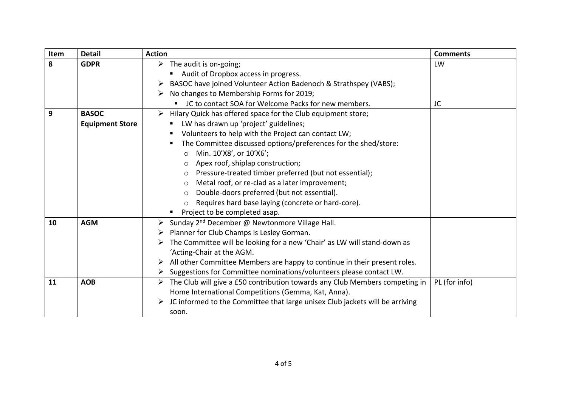| Item | <b>Detail</b>                          | <b>Action</b>                                                                                                                                                                                                                                                                                                                                                                                                                                                                                                                                                                                                           | <b>Comments</b> |
|------|----------------------------------------|-------------------------------------------------------------------------------------------------------------------------------------------------------------------------------------------------------------------------------------------------------------------------------------------------------------------------------------------------------------------------------------------------------------------------------------------------------------------------------------------------------------------------------------------------------------------------------------------------------------------------|-----------------|
| 8    | <b>GDPR</b>                            | $\triangleright$ The audit is on-going;<br>Audit of Dropbox access in progress.<br>BASOC have joined Volunteer Action Badenoch & Strathspey (VABS);<br>No changes to Membership Forms for 2019;<br>➤<br>JC to contact SOA for Welcome Packs for new members.                                                                                                                                                                                                                                                                                                                                                            | LW<br>JC        |
| 9    | <b>BASOC</b><br><b>Equipment Store</b> | Hilary Quick has offered space for the Club equipment store;<br>➤<br>LW has drawn up 'project' guidelines;<br>Volunteers to help with the Project can contact LW;<br>The Committee discussed options/preferences for the shed/store:<br>Min. 10'X8', or 10'X6';<br>$\circ$<br>Apex roof, shiplap construction;<br>$\circ$<br>Pressure-treated timber preferred (but not essential);<br>$\circ$<br>Metal roof, or re-clad as a later improvement;<br>$\circ$<br>Double-doors preferred (but not essential).<br>$\circ$<br>Requires hard base laying (concrete or hard-core).<br>$\circ$<br>Project to be completed asap. |                 |
| 10   | <b>AGM</b>                             | Sunday 2 <sup>nd</sup> December @ Newtonmore Village Hall.<br>➤<br>Planner for Club Champs is Lesley Gorman.<br>➤<br>The Committee will be looking for a new 'Chair' as LW will stand-down as<br>'Acting-Chair at the AGM.<br>All other Committee Members are happy to continue in their present roles.<br>➤<br>Suggestions for Committee nominations/volunteers please contact LW.<br>➤                                                                                                                                                                                                                                |                 |
| 11   | <b>AOB</b>                             | The Club will give a £50 contribution towards any Club Members competing in<br>➤<br>Home International Competitions (Gemma, Kat, Anna).<br>JC informed to the Committee that large unisex Club jackets will be arriving<br>soon.                                                                                                                                                                                                                                                                                                                                                                                        | PL (for info)   |